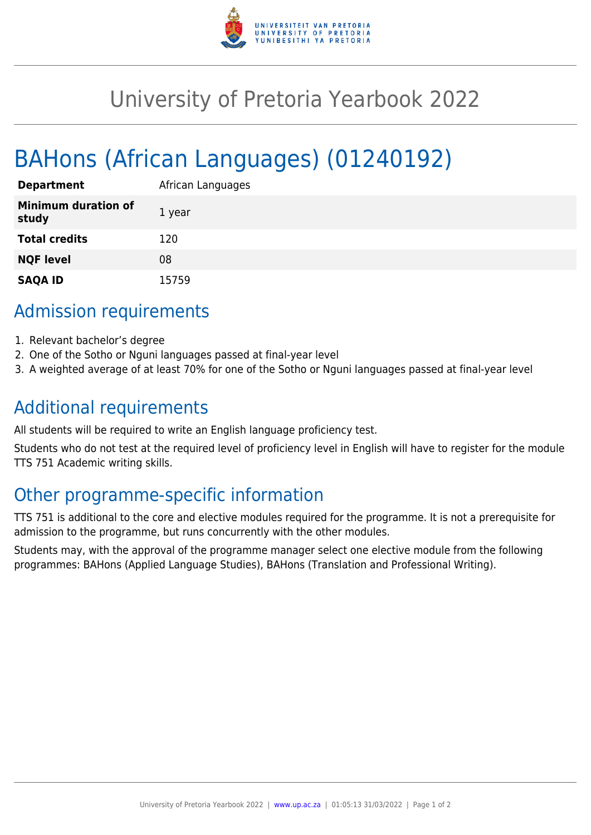

# University of Pretoria Yearbook 2022

# BAHons (African Languages) (01240192)

| <b>Department</b>                   | African Languages |
|-------------------------------------|-------------------|
| <b>Minimum duration of</b><br>study | 1 year            |
| <b>Total credits</b>                | 120               |
| <b>NQF level</b>                    | 08                |
| <b>SAQA ID</b>                      | 15759             |

### Admission requirements

- 1. Relevant bachelor's degree
- 2. One of the Sotho or Nguni languages passed at final-year level
- 3. A weighted average of at least 70% for one of the Sotho or Nguni languages passed at final-year level

## Additional requirements

All students will be required to write an English language proficiency test.

Students who do not test at the required level of proficiency level in English will have to register for the module TTS 751 Academic writing skills.

# Other programme-specific information

TTS 751 is additional to the core and elective modules required for the programme. It is not a prerequisite for admission to the programme, but runs concurrently with the other modules.

Students may, with the approval of the programme manager select one elective module from the following programmes: BAHons (Applied Language Studies), BAHons (Translation and Professional Writing).